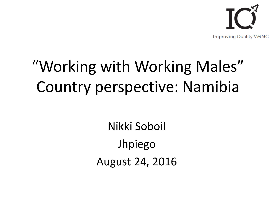

# "Working with Working Males" Country perspective: Namibia

Nikki Soboil Jhpiego August 24, 2016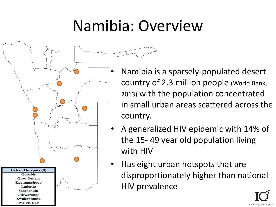#### Namibia: Overview



- Namibia is a sparsely-populated desert country of 2.3 million people (World Bank, 2013) with the population concentrated in small urban areas scattered across the country.
- A generalized HIV epidemic with 14% of the 15- 49 year old population living with HIV
- Has eight urban hotspots that are disproportionately higher than national HIV prevalence

**Improving Quality**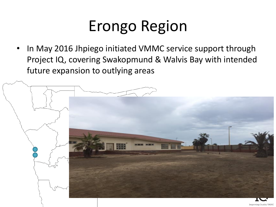#### Erongo Region

In May 2016 Jhpiego initiated VMMC service support through Project IQ, covering Swakopmund & Walvis Bay with intended future expansion to outlying areas

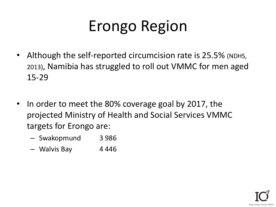# Erongo Region

- Although the self-reported circumcision rate is 25.5% (NDHS, 2013), Namibia has struggled to roll out VMMC for men aged 15-29
- In order to meet the 80% coverage goal by 2017, the projected Ministry of Health and Social Services VMMC targets for Erongo are:
	- Swakopmund 3 986
	- Walvis Bay 4446

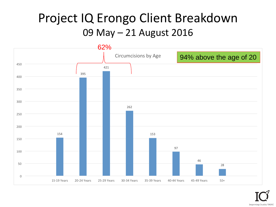#### Project IQ Erongo Client Breakdown 09 May – 21 August 2016

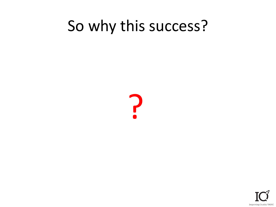#### So why this success?



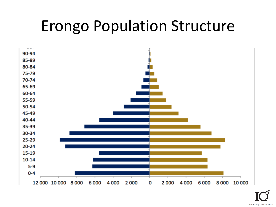#### Erongo Population Structure



**Improving Quality VMMC**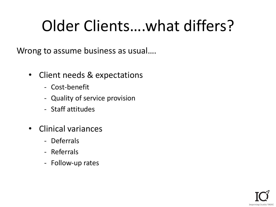#### Older Clients….what differs?

Wrong to assume business as usual….

- Client needs & expectations
	- Cost-benefit
	- Quality of service provision
	- Staff attitudes
- Clinical variances
	- Deferrals
	- Referrals
	- Follow-up rates

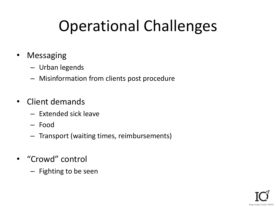# Operational Challenges

- Messaging
	- Urban legends
	- Misinformation from clients post procedure
- Client demands
	- Extended sick leave
	- Food
	- Transport (waiting times, reimbursements)
- "Crowd" control
	- Fighting to be seen

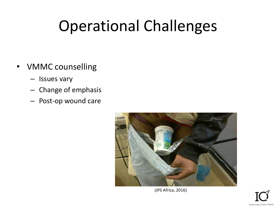#### Operational Challenges

- VMMC counselling
	- Issues vary
	- Change of emphasis
	- Post-op wound care



(JPS Africa, 2016)

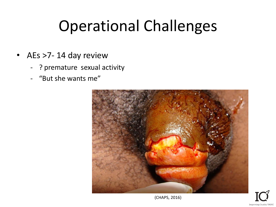#### Operational Challenges

- AEs >7- 14 day review
	- ? premature sexual activity
	- "But she wants me"



(CHAPS, 2016)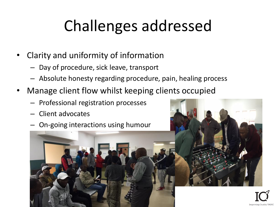- Clarity and uniformity of information
	- Day of procedure, sick leave, transport
	- Absolute honesty regarding procedure, pain, healing process
- Manage client flow whilst keeping clients occupied
	- Professional registration processes
	- Client advocates
	- On-going interactions using humour



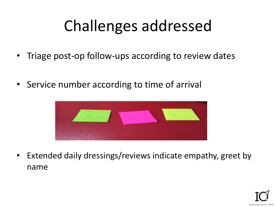- Triage post-op follow-ups according to review dates
- Service number according to time of arrival



• Extended daily dressings/reviews indicate empathy, greet by name

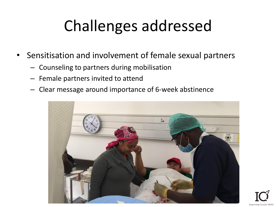- Sensitisation and involvement of female sexual partners
	- Counseling to partners during mobilisation
	- Female partners invited to attend
	- Clear message around importance of 6-week abstinence



**Improving Quality**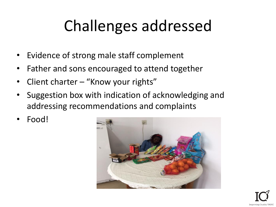- Evidence of strong male staff complement
- Father and sons encouraged to attend together
- Client charter "Know your rights"
- Suggestion box with indication of acknowledging and addressing recommendations and complaints
- Food!

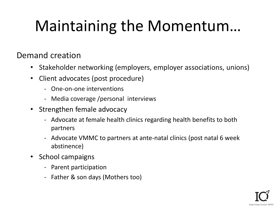# Maintaining the Momentum…

#### Demand creation

- Stakeholder networking (employers, employer associations, unions)
- Client advocates (post procedure)
	- One-on-one interventions
	- Media coverage /personal interviews
- Strengthen female advocacy
	- Advocate at female health clinics regarding health benefits to both partners
	- Advocate VMMC to partners at ante-natal clinics (post natal 6 week abstinence)
- School campaigns
	- Parent participation
	- Father & son days (Mothers too)

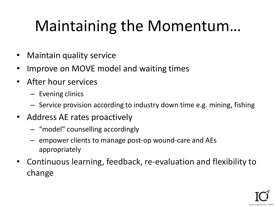#### Maintaining the Momentum…

- Maintain quality service
- Improve on MOVE model and waiting times
- After hour services
	- Evening clinics
	- Service provision according to industry down time e.g. mining, fishing
- Address AE rates proactively
	- "model" counselling accordingly
	- empower clients to manage post-op wound-care and AEs appropriately
- Continuous learning, feedback, re-evaluation and flexibility to change